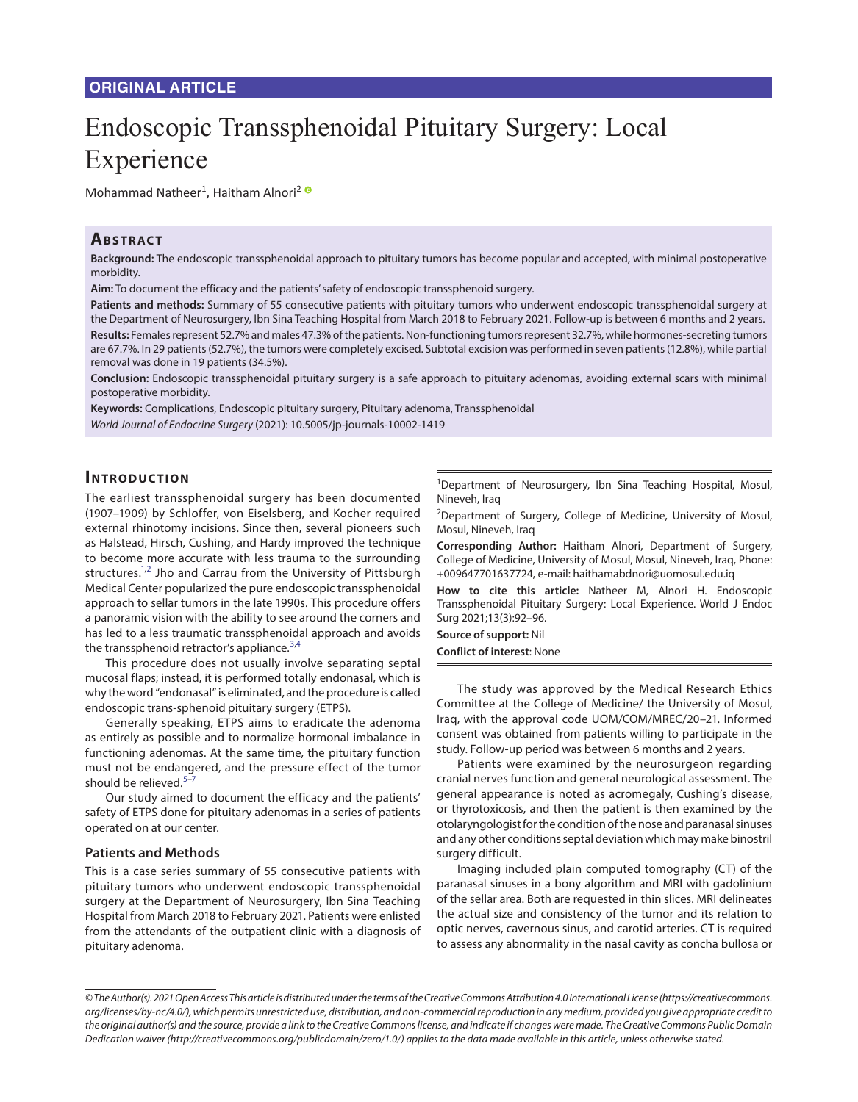# **ORIGINAL ARTICLE**

# Endoscopic Transsphenoidal Pituitary Surgery: Local Experience

Mohammad Natheer<sup>1</sup>, Haitham Alnori<sup>[2](https://orcid.org/0000-0002-0280-9466)</sup>

# **ABSTRACT**

**Background:** The endoscopic transsphenoidal approach to pituitary tumors has become popular and accepted, with minimal postoperative morbidity.

**Aim:** To document the efficacy and the patients' safety of endoscopic transsphenoid surgery.

**Patients and methods:** Summary of 55 consecutive patients with pituitary tumors who underwent endoscopic transsphenoidal surgery at the Department of Neurosurgery, Ibn Sina Teaching Hospital from March 2018 to February 2021. Follow-up is between 6 months and 2 years. **Results:** Females represent 52.7% and males 47.3% of the patients. Non-functioning tumors represent 32.7%, while hormones-secreting tumors are 67.7%. In 29 patients (52.7%), the tumors were completely excised. Subtotal excision was performed in seven patients (12.8%), while partial removal was done in 19 patients (34.5%).

**Conclusion:** Endoscopic transsphenoidal pituitary surgery is a safe approach to pituitary adenomas, avoiding external scars with minimal postoperative morbidity.

**Keywords:** Complications, Endoscopic pituitary surgery, Pituitary adenoma, Transsphenoidal *World Journal of Endocrine Surgery* (2021): 10.5005/jp-journals-10002-1419

## **Introduc tion**

<span id="page-0-1"></span><span id="page-0-0"></span>The earliest transsphenoidal surgery has been documented (1907–1909) by Schloffer, von Eiselsberg, and Kocher required external rhinotomy incisions. Since then, several pioneers such as Halstead, Hirsch, Cushing, and Hardy improved the technique to become more accurate with less trauma to the surrounding structures.<sup>1,[2](#page-4-1)</sup> Jho and Carrau from the University of Pittsburgh Medical Center popularized the pure endoscopic transsphenoidal approach to sellar tumors in the late 1990s. This procedure offers a panoramic vision with the ability to see around the corners and has led to a less traumatic transsphenoidal approach and avoids the transsphenoid retractor's appliance.<sup>[3](#page-4-2)[,4](#page-4-3)</sup>

This procedure does not usually involve separating septal mucosal flaps; instead, it is performed totally endonasal, which is why the word "endonasal" is eliminated, and the procedure is called endoscopic trans-sphenoid pituitary surgery (ETPS).

Generally speaking, ETPS aims to eradicate the adenoma as entirely as possible and to normalize hormonal imbalance in functioning adenomas. At the same time, the pituitary function must not be endangered, and the pressure effect of the tumor should be relieved. $5-7$  $5-7$ 

Our study aimed to document the efficacy and the patients' safety of ETPS done for pituitary adenomas in a series of patients operated on at our center.

## **Patients and Methods**

This is a case series summary of 55 consecutive patients with pituitary tumors who underwent endoscopic transsphenoidal surgery at the Department of Neurosurgery, Ibn Sina Teaching Hospital from March 2018 to February 2021. Patients were enlisted from the attendants of the outpatient clinic with a diagnosis of pituitary adenoma.

<sup>1</sup>Department of Neurosurgery, Ibn Sina Teaching Hospital, Mosul, Nineveh, Iraq

<sup>2</sup>Department of Surgery, College of Medicine, University of Mosul, Mosul, Nineveh, Iraq

**Corresponding Author:** Haitham Alnori, Department of Surgery, College of Medicine, University of Mosul, Mosul, Nineveh, Iraq, Phone: +009647701637724, e-mail: haithamabdnori@uomosul.edu.iq

**How to cite this article:** Natheer M, Alnori H. Endoscopic Transsphenoidal Pituitary Surgery: Local Experience. World J Endoc Surg 2021;13(3):92–96.

**Source of support:** Nil

<span id="page-0-3"></span><span id="page-0-2"></span>**Conflict of interest**: None

The study was approved by the Medical Research Ethics Committee at the College of Medicine/ the University of Mosul, Iraq, with the approval code UOM/COM/MREC/20–21. Informed consent was obtained from patients willing to participate in the study. Follow-up period was between 6 months and 2 years.

<span id="page-0-5"></span><span id="page-0-4"></span>Patients were examined by the neurosurgeon regarding cranial nerves function and general neurological assessment. The general appearance is noted as acromegaly, Cushing's disease, or thyrotoxicosis, and then the patient is then examined by the otolaryngologist for the condition of the nose and paranasal sinuses and any other conditions septal deviation which may make binostril surgery difficult.

Imaging included plain computed tomography (CT) of the paranasal sinuses in a bony algorithm and MRI with gadolinium of the sellar area. Both are requested in thin slices. MRI delineates the actual size and consistency of the tumor and its relation to optic nerves, cavernous sinus, and carotid arteries. CT is required to assess any abnormality in the nasal cavity as concha bullosa or

*<sup>©</sup> The Author(s). 2021 Open Access This article is distributed under the terms of the Creative Commons Attribution 4.0 International License (https://creativecommons. org/licenses/by-nc/4.0/), which permits unrestricted use, distribution, and non-commercial reproduction in any medium, provided you give appropriate credit to the original author(s) and the source, provide a link to the Creative Commons license, and indicate if changes were made. The Creative Commons Public Domain Dedication waiver (http://creativecommons.org/publicdomain/zero/1.0/) applies to the data made available in this article, unless otherwise stated.*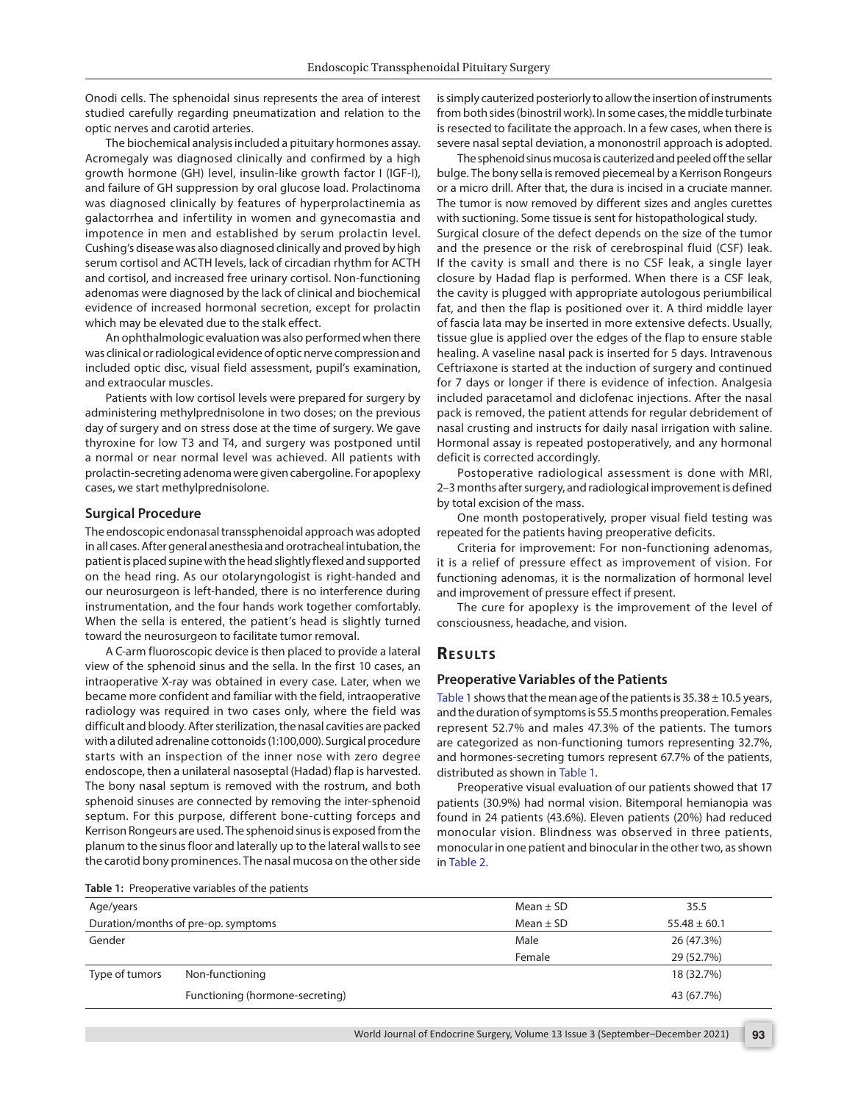Onodi cells. The sphenoidal sinus represents the area of interest studied carefully regarding pneumatization and relation to the optic nerves and carotid arteries.

The biochemical analysis included a pituitary hormones assay. Acromegaly was diagnosed clinically and confirmed by a high growth hormone (GH) level, insulin-like growth factor I (IGF-I), and failure of GH suppression by oral glucose load. Prolactinoma was diagnosed clinically by features of hyperprolactinemia as galactorrhea and infertility in women and gynecomastia and impotence in men and established by serum prolactin level. Cushing's disease was also diagnosed clinically and proved by high serum cortisol and ACTH levels, lack of circadian rhythm for ACTH and cortisol, and increased free urinary cortisol. Non-functioning adenomas were diagnosed by the lack of clinical and biochemical evidence of increased hormonal secretion, except for prolactin which may be elevated due to the stalk effect.

An ophthalmologic evaluation was also performed when there was clinical or radiological evidence of optic nerve compression and included optic disc, visual field assessment, pupil's examination, and extraocular muscles.

Patients with low cortisol levels were prepared for surgery by administering methylprednisolone in two doses; on the previous day of surgery and on stress dose at the time of surgery. We gave thyroxine for low T3 and T4, and surgery was postponed until a normal or near normal level was achieved. All patients with prolactin-secreting adenoma were given cabergoline. For apoplexy cases, we start methylprednisolone.

#### **Surgical Procedure**

The endoscopic endonasal transsphenoidal approach was adopted in all cases. After general anesthesia and orotracheal intubation, the patient is placed supine with the head slightly flexed and supported on the head ring. As our otolaryngologist is right-handed and our neurosurgeon is left-handed, there is no interference during instrumentation, and the four hands work together comfortably. When the sella is entered, the patient's head is slightly turned toward the neurosurgeon to facilitate tumor removal.

A C-arm fluoroscopic device is then placed to provide a lateral view of the sphenoid sinus and the sella. In the first 10 cases, an intraoperative X-ray was obtained in every case. Later, when we became more confident and familiar with the field, intraoperative radiology was required in two cases only, where the field was difficult and bloody. After sterilization, the nasal cavities are packed with a diluted adrenaline cottonoids (1:100,000). Surgical procedure starts with an inspection of the inner nose with zero degree endoscope, then a unilateral nasoseptal (Hadad) flap is harvested. The bony nasal septum is removed with the rostrum, and both sphenoid sinuses are connected by removing the inter-sphenoid septum. For this purpose, different bone-cutting forceps and Kerrison Rongeurs are used. The sphenoid sinus is exposed from the planum to the sinus floor and laterally up to the lateral walls to see the carotid bony prominences. The nasal mucosa on the other side

<span id="page-1-0"></span>**[Table 1:](#page-1-1)** Preoperative variables of the patients

is simply cauterized posteriorly to allow the insertion of instruments from both sides (binostril work). In some cases, the middle turbinate is resected to facilitate the approach. In a few cases, when there is severe nasal septal deviation, a mononostril approach is adopted.

The sphenoid sinus mucosa is cauterized and peeled off the sellar bulge. The bony sella is removed piecemeal by a Kerrison Rongeurs or a micro drill. After that, the dura is incised in a cruciate manner. The tumor is now removed by different sizes and angles curettes with suctioning. Some tissue is sent for histopathological study. Surgical closure of the defect depends on the size of the tumor and the presence or the risk of cerebrospinal fluid (CSF) leak. If the cavity is small and there is no CSF leak, a single layer closure by Hadad flap is performed. When there is a CSF leak, the cavity is plugged with appropriate autologous periumbilical fat, and then the flap is positioned over it. A third middle layer of fascia lata may be inserted in more extensive defects. Usually, tissue glue is applied over the edges of the flap to ensure stable healing. A vaseline nasal pack is inserted for 5 days. Intravenous Ceftriaxone is started at the induction of surgery and continued for 7 days or longer if there is evidence of infection. Analgesia included paracetamol and diclofenac injections. After the nasal pack is removed, the patient attends for regular debridement of nasal crusting and instructs for daily nasal irrigation with saline. Hormonal assay is repeated postoperatively, and any hormonal deficit is corrected accordingly.

Postoperative radiological assessment is done with MRI, 2–3 months after surgery, and radiological improvement is defined by total excision of the mass.

One month postoperatively, proper visual field testing was repeated for the patients having preoperative deficits.

Criteria for improvement: For non-functioning adenomas, it is a relief of pressure effect as improvement of vision. For functioning adenomas, it is the normalization of hormonal level and improvement of pressure effect if present.

The cure for apoplexy is the improvement of the level of consciousness, headache, and vision.

## **RESULTS**

#### **Preoperative Variables of the Patients**

<span id="page-1-1"></span>[Table 1](#page-1-0) shows that the mean age of the patients is  $35.38 \pm 10.5$  years, and the duration of symptoms is 55.5 months preoperation. Females represent 52.7% and males 47.3% of the patients. The tumors are categorized as non-functioning tumors representing 32.7%, and hormones-secreting tumors represent 67.7% of the patients, distributed as shown in [Table 1.](#page-1-0)

<span id="page-1-2"></span>Preoperative visual evaluation of our patients showed that 17 patients (30.9%) had normal vision. Bitemporal hemianopia was found in 24 patients (43.6%). Eleven patients (20%) had reduced monocular vision. Blindness was observed in three patients, monocular in one patient and binocular in the other two, as shown in [Table 2](#page-2-0).

| Age/years                                            |                                 | Mean $\pm$ SD | 35.5             |
|------------------------------------------------------|---------------------------------|---------------|------------------|
| Duration/months of pre-op. symptoms<br>Mean $\pm$ SD |                                 |               | $55.48 \pm 60.1$ |
| Gender                                               |                                 | Male          | 26 (47.3%)       |
|                                                      |                                 | Female        | 29 (52.7%)       |
| Type of tumors                                       | Non-functioning                 |               | 18 (32.7%)       |
|                                                      | Functioning (hormone-secreting) |               | 43 (67.7%)       |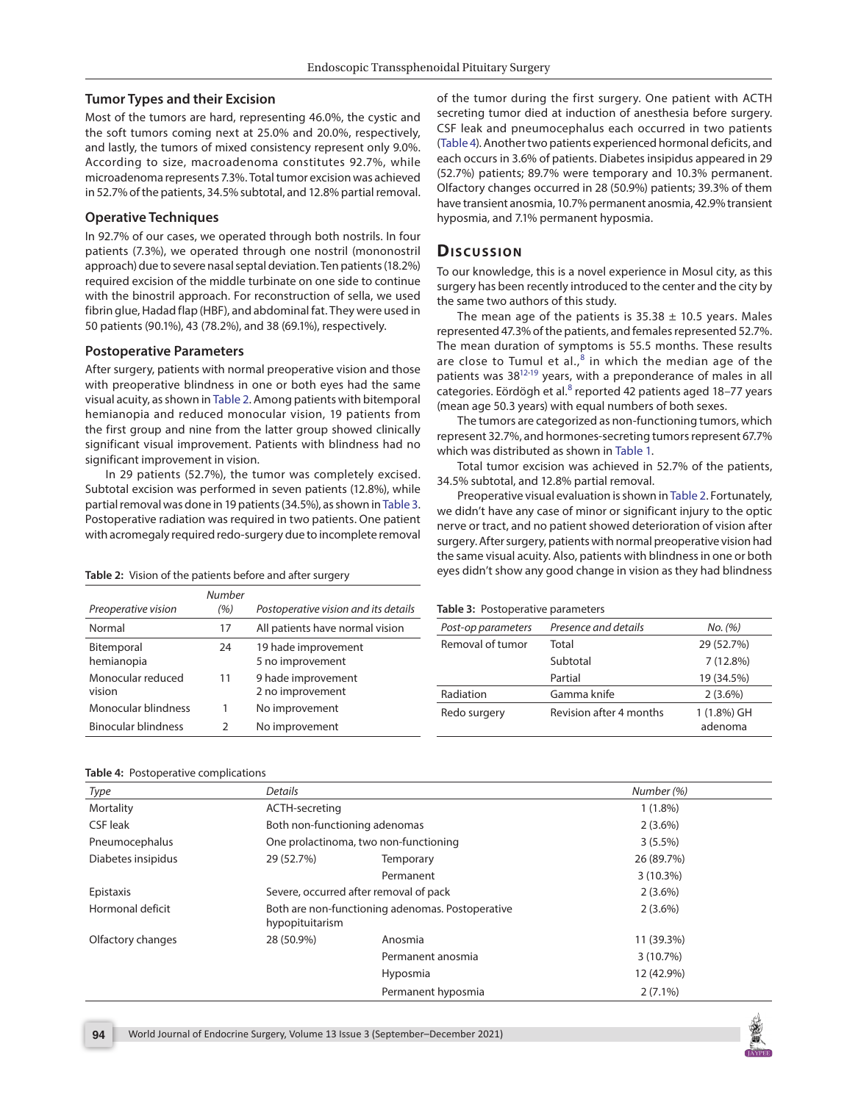### **Tumor Types and their Excision**

Most of the tumors are hard, representing 46.0%, the cystic and the soft tumors coming next at 25.0% and 20.0%, respectively, and lastly, the tumors of mixed consistency represent only 9.0%. According to size, macroadenoma constitutes 92.7%, while microadenoma represents 7.3%. Total tumor excision was achieved in 52.7% of the patients, 34.5% subtotal, and 12.8% partial removal.

## **Operative Techniques**

In 92.7% of our cases, we operated through both nostrils. In four patients (7.3%), we operated through one nostril (mononostril approach) due to severe nasal septal deviation. Ten patients (18.2%) required excision of the middle turbinate on one side to continue with the binostril approach. For reconstruction of sella, we used fibrin glue, Hadad flap (HBF), and abdominal fat. They were used in 50 patients (90.1%), 43 (78.2%), and 38 (69.1%), respectively.

#### **Postoperative Parameters**

After surgery, patients with normal preoperative vision and those with preoperative blindness in one or both eyes had the same visual acuity, as shown in [Table 2.](#page-2-0) Among patients with bitemporal hemianopia and reduced monocular vision, 19 patients from the first group and nine from the latter group showed clinically significant visual improvement. Patients with blindness had no significant improvement in vision.

In 29 patients (52.7%), the tumor was completely excised. Subtotal excision was performed in seven patients (12.8%), while partial removal was done in 19 patients (34.5%), as shown in [Table 3.](#page-2-2) Postoperative radiation was required in two patients. One patient with acromegaly required redo-surgery due to incomplete removal

#### <span id="page-2-0"></span>**[Table 2:](#page-1-2)** Vision of the patients before and after surgery

<span id="page-2-4"></span>of the tumor during the first surgery. One patient with ACTH secreting tumor died at induction of anesthesia before surgery. CSF leak and pneumocephalus each occurred in two patients [\(Table 4](#page-2-1)). Another two patients experienced hormonal deficits, and each occurs in 3.6% of patients. Diabetes insipidus appeared in 29 (52.7%) patients; 89.7% were temporary and 10.3% permanent. Olfactory changes occurred in 28 (50.9%) patients; 39.3% of them have transient anosmia, 10.7% permanent anosmia, 42.9% transient hyposmia, and 7.1% permanent hyposmia.

# **Discussion**

To our knowledge, this is a novel experience in Mosul city, as this surgery has been recently introduced to the center and the city by the same two authors of this study.

<span id="page-2-6"></span>The mean age of the patients is  $35.38 \pm 10.5$  years. Males represented 47.3% of the patients, and females represented 52.7%. The mean duration of symptoms is 55.5 months. These results are close to Tumul et al., $8$  in which the median age of the patients was 38<sup>12-19</sup> years, with a preponderance of males in all categories. Eördögh et al.<sup>[8](#page-4-6)</sup> reported 42 patients aged 18-77 years (mean age 50.3 years) with equal numbers of both sexes.

<span id="page-2-7"></span><span id="page-2-5"></span>The tumors are categorized as non-functioning tumors, which represent 32.7%, and hormones-secreting tumors represent 67.7% which was distributed as shown in [Table 1.](#page-1-0)

Total tumor excision was achieved in 52.7% of the patients, 34.5% subtotal, and 12.8% partial removal.

<span id="page-2-3"></span><span id="page-2-2"></span>Preoperative visual evaluation is shown in [Table 2.](#page-2-0) Fortunately, we didn't have any case of minor or significant injury to the optic nerve or tract, and no patient showed deterioration of vision after surgery. After surgery, patients with normal preoperative vision had the same visual acuity. Also, patients with blindness in one or both eyes didn't show any good change in vision as they had blindness

|                            | <b>Number</b> |                                      |                                   |                         |             |
|----------------------------|---------------|--------------------------------------|-----------------------------------|-------------------------|-------------|
| Preoperative vision        | (%)           | Postoperative vision and its details | Table 3: Postoperative parameters |                         |             |
| Normal                     | 17            | All patients have normal vision      | Post-op parameters                | Presence and details    | No. (%)     |
| Bitemporal                 | 24            | 19 hade improvement                  | Removal of tumor                  | Total                   | 29 (52.7%)  |
| hemianopia                 |               | 5 no improvement                     |                                   | Subtotal                | 7(12.8%)    |
| Monocular reduced          | 11            | 9 hade improvement                   |                                   | Partial                 | 19 (34.5%)  |
| vision                     |               | 2 no improvement                     | Radiation                         | Gamma knife             | $2(3.6\%)$  |
| Monocular blindness        |               | No improvement                       | Redo surgery                      | Revision after 4 months | 1 (1.8%) GH |
| <b>Binocular blindness</b> |               | No improvement                       |                                   |                         | adenoma     |

#### <span id="page-2-1"></span>**[Table 4:](#page-2-4)** Postoperative complications

| Type               | Details                       |                                                  | Number (%) |
|--------------------|-------------------------------|--------------------------------------------------|------------|
| Mortality          | ACTH-secreting                |                                                  | $1(1.8\%)$ |
| <b>CSF</b> leak    | Both non-functioning adenomas |                                                  | $2(3.6\%)$ |
| Pneumocephalus     |                               | One prolactinoma, two non-functioning            | $3(5.5\%)$ |
| Diabetes insipidus | 29 (52.7%)                    | Temporary                                        | 26 (89.7%) |
|                    |                               | Permanent                                        | 3(10.3%)   |
| Epistaxis          |                               | Severe, occurred after removal of pack           | $2(3.6\%)$ |
| Hormonal deficit   | hypopituitarism               | Both are non-functioning adenomas. Postoperative | $2(3.6\%)$ |
| Olfactory changes  | 28 (50.9%)                    | Anosmia                                          | 11 (39.3%) |
|                    |                               | Permanent anosmia                                | 3(10.7%)   |
|                    |                               | Hyposmia                                         | 12 (42.9%) |
|                    |                               | Permanent hyposmia                               | $2(7.1\%)$ |

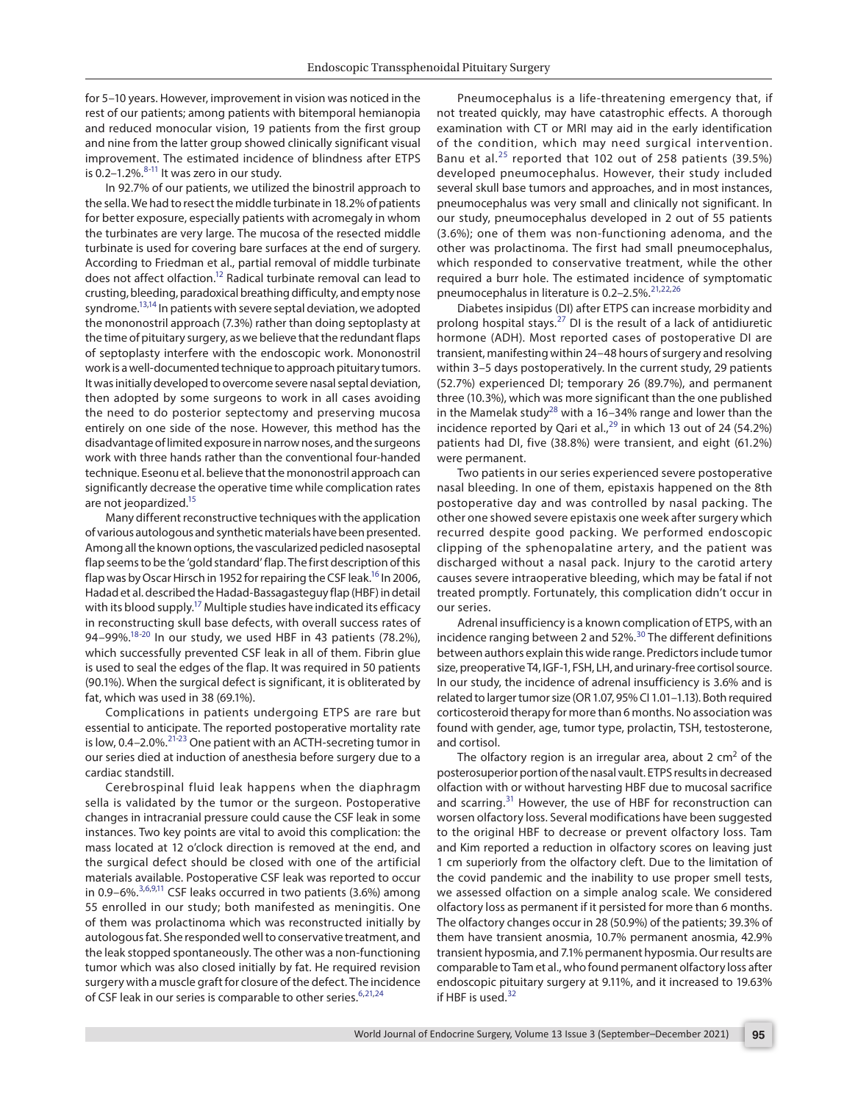for 5–10 years. However, improvement in vision was noticed in the rest of our patients; among patients with bitemporal hemianopia and reduced monocular vision, 19 patients from the first group and nine from the latter group showed clinically significant visual improvement. The estimated incidence of blindness after ETPS is 0.2–1.2%. $8-11$  $8-11$  It was zero in our study.

<span id="page-3-20"></span><span id="page-3-19"></span><span id="page-3-18"></span>In 92.7% of our patients, we utilized the binostril approach to the sella. We had to resect the middle turbinate in 18.2% of patients for better exposure, especially patients with acromegaly in whom the turbinates are very large. The mucosa of the resected middle turbinate is used for covering bare surfaces at the end of surgery. According to Friedman et al., partial removal of middle turbinate does not affect olfaction[.12](#page-4-7) Radical turbinate removal can lead to crusting, bleeding, paradoxical breathing difficulty, and empty nose syndrome.<sup>13,14</sup> In patients with severe septal deviation, we adopted the mononostril approach (7.3%) rather than doing septoplasty at the time of pituitary surgery, as we believe that the redundant flaps of septoplasty interfere with the endoscopic work. Mononostril work is a well-documented technique to approach pituitary tumors. It was initially developed to overcome severe nasal septal deviation, then adopted by some surgeons to work in all cases avoiding the need to do posterior septectomy and preserving mucosa entirely on one side of the nose. However, this method has the disadvantage of limited exposure in narrow noses, and the surgeons work with three hands rather than the conventional four-handed technique. Eseonu et al. believe that the mononostril approach can significantly decrease the operative time while complication rates are not jeopardized.<sup>15</sup>

Many different reconstructive techniques with the application of various autologous and synthetic materials have been presented. Among all the known options, the vascularized pedicled nasoseptal flap seems to be the 'gold standard' flap. The first description of this flap was by Oscar Hirsch in 1952 for repairing the CSF leak.<sup>16</sup> In 2006, Hadad et al. described the Hadad-Bassagasteguy flap (HBF) in detail with its blood supply.<sup>17</sup> Multiple studies have indicated its efficacy in reconstructing skull base defects, with overall success rates of 94-99%.<sup>[18](#page-4-25)[-20](#page-4-26)</sup> In our study, we used HBF in 43 patients (78.2%), which successfully prevented CSF leak in all of them. Fibrin glue is used to seal the edges of the flap. It was required in 50 patients (90.1%). When the surgical defect is significant, it is obliterated by fat, which was used in 38 (69.1%).

<span id="page-3-4"></span><span id="page-3-3"></span><span id="page-3-2"></span>Complications in patients undergoing ETPS are rare but essential to anticipate. The reported postoperative mortality rate is low, 0.4-2.0%.<sup>[21](#page-4-10)[-23](#page-4-27)</sup> One patient with an ACTH-secreting tumor in our series died at induction of anesthesia before surgery due to a cardiac standstill.

<span id="page-3-17"></span><span id="page-3-16"></span>Cerebrospinal fluid leak happens when the diaphragm sella is validated by the tumor or the surgeon. Postoperative changes in intracranial pressure could cause the CSF leak in some instances. Two key points are vital to avoid this complication: the mass located at 12 o'clock direction is removed at the end, and the surgical defect should be closed with one of the artificial materials available. Postoperative CSF leak was reported to occur in 0.9–[6](#page-4-28)%. $3,6,9,11$  $3,6,9,11$  $3,6,9,11$  $3,6,9,11$  CSF leaks occurred in two patients (3.6%) among 55 enrolled in our study; both manifested as meningitis. One of them was prolactinoma which was reconstructed initially by autologous fat. She responded well to conservative treatment, and the leak stopped spontaneously. The other was a non-functioning tumor which was also closed initially by fat. He required revision surgery with a muscle graft for closure of the defect. The incidence of CSF leak in our series is comparable to other series.<sup>[6](#page-4-28),[21,](#page-4-10)[24](#page-4-30)</sup>

<span id="page-3-8"></span>Pneumocephalus is a life-threatening emergency that, if not treated quickly, may have catastrophic effects. A thorough examination with CT or MRI may aid in the early identification of the condition, which may need surgical intervention. Banu et al. $25$  reported that 102 out of 258 patients (39.5%) developed pneumocephalus. However, their study included several skull base tumors and approaches, and in most instances, pneumocephalus was very small and clinically not significant. In our study, pneumocephalus developed in 2 out of 55 patients (3.6%); one of them was non-functioning adenoma, and the other was prolactinoma. The first had small pneumocephalus, which responded to conservative treatment, while the other required a burr hole. The estimated incidence of symptomatic pneumocephalus in literature is 0.2-2.5%.<sup>[21](#page-4-10),[22](#page-4-11),[26](#page-4-12)</sup>

<span id="page-3-10"></span><span id="page-3-9"></span><span id="page-3-5"></span>Diabetes insipidus (DI) after ETPS can increase morbidity and prolong hospital stays. $27$  DI is the result of a lack of antidiuretic hormone (ADH). Most reported cases of postoperative DI are transient, manifesting within 24–48 hours of surgery and resolving within 3–5 days postoperatively. In the current study, 29 patients (52.7%) experienced DI; temporary 26 (89.7%), and permanent three (10.3%), which was more significant than the one published in the Mamelak study<sup>[28](#page-4-14)</sup> with a 16–34% range and lower than the incidence reported by Qari et al.,<sup>[29](#page-4-15)</sup> in which 13 out of 24 (54.2%) patients had DI, five (38.8%) were transient, and eight (61.2%) were permanent.

<span id="page-3-21"></span><span id="page-3-12"></span><span id="page-3-11"></span>Two patients in our series experienced severe postoperative nasal bleeding. In one of them, epistaxis happened on the 8th postoperative day and was controlled by nasal packing. The other one showed severe epistaxis one week after surgery which recurred despite good packing. We performed endoscopic clipping of the sphenopalatine artery, and the patient was discharged without a nasal pack. Injury to the carotid artery causes severe intraoperative bleeding, which may be fatal if not treated promptly. Fortunately, this complication didn't occur in our series.

<span id="page-3-13"></span><span id="page-3-1"></span><span id="page-3-0"></span>Adrenal insufficiency is a known complication of ETPS, with an incidence ranging between 2 and 52%.[30](#page-4-16) The different definitions between authors explain this wide range. Predictors include tumor size, preoperative T4, IGF-1, FSH, LH, and urinary-free cortisol source. In our study, the incidence of adrenal insufficiency is 3.6% and is related to larger tumor size (OR 1.07, 95% CI 1.01–1.13). Both required corticosteroid therapy for more than 6 months. No association was found with gender, age, tumor type, prolactin, TSH, testosterone, and cortisol.

<span id="page-3-15"></span><span id="page-3-14"></span><span id="page-3-7"></span><span id="page-3-6"></span>The olfactory region is an irregular area, about 2  $cm<sup>2</sup>$  of the posterosuperior portion of the nasal vault. ETPS results in decreased olfaction with or without harvesting HBF due to mucosal sacrifice and scarring.<sup>[31](#page-4-17)</sup> However, the use of HBF for reconstruction can worsen olfactory loss. Several modifications have been suggested to the original HBF to decrease or prevent olfactory loss. Tam and Kim reported a reduction in olfactory scores on leaving just 1 cm superiorly from the olfactory cleft. Due to the limitation of the covid pandemic and the inability to use proper smell tests, we assessed olfaction on a simple analog scale. We considered olfactory loss as permanent if it persisted for more than 6 months. The olfactory changes occur in 28 (50.9%) of the patients; 39.3% of them have transient anosmia, 10.7% permanent anosmia, 42.9% transient hyposmia, and 7.1% permanent hyposmia. Our results are comparable to Tam et al., who found permanent olfactory loss after endoscopic pituitary surgery at 9.11%, and it increased to 19.63% if HBF is used.<sup>[32](#page-4-18)</sup>